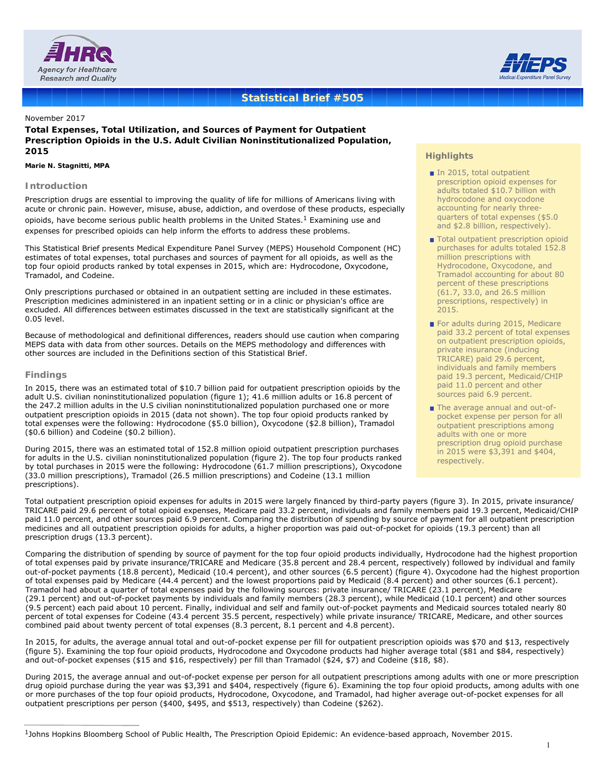



# **Statistical Brief #505**

November 2017

**Total Expenses, Total Utilization, and Sources of Payment for Outpatient Prescription Opioids in the U.S. Adult Civilian Noninstitutionalized Population, 2015**

#### *Marie N. Stagnitti, MPA*

## **Introduction**

Prescription drugs are essential to improving the quality of life for millions of Americans living with acute or chronic pain. However, misuse, abuse, addiction, and overdose of these products, especially opioids, have become serious public health problems in the United States.<sup>1</sup> Examining use and expenses for prescribed opioids can help inform the efforts to address these problems.

This Statistical Brief presents Medical Expenditure Panel Survey (MEPS) Household Component (HC) estimates of total expenses, total purchases and sources of payment for all opioids, as well as the top four opioid products ranked by total expenses in 2015, which are: Hydrocodone, Oxycodone, Tramadol, and Codeine.

Only prescriptions purchased or obtained in an outpatient setting are included in these estimates. Prescription medicines administered in an inpatient setting or in a clinic or physician's office are excluded. All differences between estimates discussed in the text are statistically significant at the 0.05 level.

Because of methodological and definitional differences, readers should use caution when comparing MEPS data with data from other sources. Details on the MEPS methodology and differences with other sources are included in the Definitions section of this Statistical Brief.

### **Findings**

In 2015, there was an estimated total of \$10.7 billion paid for outpatient prescription opioids by the adult U.S. civilian noninstitutionalized population (figure 1); 41.6 million adults or 16.8 percent of the 247.2 million adults in the U.S civilian noninstitutionalized population purchased one or more outpatient prescription opioids in 2015 (data not shown). The top four opioid products ranked by total expenses were the following: Hydrocodone (\$5.0 billion), Oxycodone (\$2.8 billion), Tramadol (\$0.6 billion) and Codeine (\$0.2 billion).

During 2015, there was an estimated total of 152.8 million opioid outpatient prescription purchases for adults in the U.S. civilian noninstitutionalized population (figure 2). The top four products ranked ror aduits in the U.S. civilian noninstitutionalized population (figure 2). The top four products ranked the respectively.<br>By total purchases in 2015 were the following: Hydrocodone (61.7 million prescriptions), Oxycodone (33.0 million prescriptions), Tramadol (26.5 million prescriptions) and Codeine (13.1 million prescriptions).

## **Highlights**

- In 2015, total outpatient prescription opioid expenses for adults totaled \$10.7 billion with hydrocodone and oxycodone accounting for nearly threequarters of total expenses (\$5.0 and \$2.8 billion, respectively).
- Total outpatient prescription opioid purchases for adults totaled 152.8 million prescriptions with Hydrocodone, Oxycodone, and Tramadol accounting for about 80 percent of these prescriptions (61.7, 33.0, and 26.5 million prescriptions, respectively) in 2015.
- For adults during 2015, Medicare paid 33.2 percent of total expenses on outpatient prescription opioids, private insurance (inducing TRICARE) paid 29.6 percent, individuals and family members paid 19.3 percent, Medicaid/CHIP paid 11.0 percent and other sources paid 6.9 percent.
- The average annual and out-ofpocket expense per person for all outpatient prescriptions among adults with one or more prescription drug opioid purchase in 2015 were \$3,391 and \$404,

Total outpatient prescription opioid expenses for adults in 2015 were largely financed by third-party payers (figure 3). In 2015, private insurance/ TRICARE paid 29.6 percent of total opioid expenses, Medicare paid 33.2 percent, individuals and family members paid 19.3 percent, Medicaid/CHIP paid 11.0 percent, and other sources paid 6.9 percent. Comparing the distribution of spending by source of payment for all outpatient prescription medicines and all outpatient prescription opioids for adults, a higher proportion was paid out-of-pocket for opioids (19.3 percent) than all prescription drugs (13.3 percent).

Comparing the distribution of spending by source of payment for the top four opioid products individually, Hydrocodone had the highest proportion of total expenses paid by private insurance/TRICARE and Medicare (35.8 percent and 28.4 percent, respectively) followed by individual and family out-of-pocket payments (18.8 percent), Medicaid (10.4 percent), and other sources (6.5 percent) (figure 4). Oxycodone had the highest proportion of total expenses paid by Medicare (44.4 percent) and the lowest proportions paid by Medicaid (8.4 percent) and other sources (6.1 percent). Tramadol had about a quarter of total expenses paid by the following sources: private insurance/ TRICARE (23.1 percent), Medicare (29.1 percent) and out-of-pocket payments by individuals and family members (28.3 percent), while Medicaid (10.1 percent) and other sources (9.5 percent) each paid about 10 percent. Finally, individual and self and family out-of-pocket payments and Medicaid sources totaled nearly 80 percent of total expenses for Codeine (43.4 percent 35.5 percent, respectively) while private insurance/ TRICARE, Medicare, and other sources combined paid about twenty percent of total expenses (8.3 percent, 8.1 percent and 4.8 percent).

In 2015, for adults, the average annual total and out-of-pocket expense per fill for outpatient prescription opioids was \$70 and \$13, respectively (figure 5). Examining the top four opioid products, Hydrocodone and Oxycodone products had higher average total (\$81 and \$84, respectively) and out-of-pocket expenses (\$15 and \$16, respectively) per fill than Tramadol (\$24, \$7) and Codeine (\$18, \$8).

During 2015, the average annual and out-of-pocket expense per person for all outpatient prescriptions among adults with one or more prescription drug opioid purchase during the year was \$3,391 and \$404, respectively (figure 6). Examining the top four opioid products, among adults with one or more purchases of the top four opioid products, Hydrocodone, Oxycodone, and Tramadol, had higher average out-of-pocket expenses for all outpatient prescriptions per person (\$400, \$495, and \$513, respectively) than Codeine (\$262).

<sup>1</sup>Johns Hopkins Bloomberg School of Public Health, The Prescription Opioid Epidemic: An evidence-based approach, November 2015.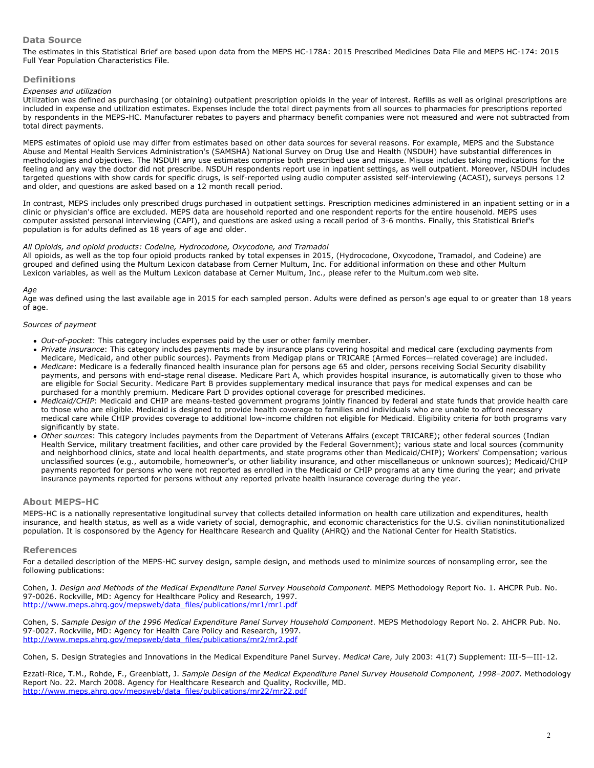## **Data Source**

The estimates in this Statistical Brief are based upon data from the MEPS HC-178A: 2015 Prescribed Medicines Data File and MEPS HC-174: 2015 Full Year Population Characteristics File.

#### **Definitions**

#### *Expenses and utilization*

Utilization was defined as purchasing (or obtaining) outpatient prescription opioids in the year of interest. Refills as well as original prescriptions are included in expense and utilization estimates. Expenses include the total direct payments from all sources to pharmacies for prescriptions reported by respondents in the MEPS-HC. Manufacturer rebates to payers and pharmacy benefit companies were not measured and were not subtracted from total direct payments.

MEPS estimates of opioid use may differ from estimates based on other data sources for several reasons. For example, MEPS and the Substance Abuse and Mental Health Services Administration's (SAMSHA) National Survey on Drug Use and Health (NSDUH) have substantial differences in methodologies and objectives. The NSDUH any use estimates comprise both prescribed use and misuse. Misuse includes taking medications for the feeling and any way the doctor did not prescribe. NSDUH respondents report use in inpatient settings, as well outpatient. Moreover, NSDUH includes targeted questions with show cards for specific drugs, is self-reported using audio computer assisted self-interviewing (ACASI), surveys persons 12 and older, and questions are asked based on a 12 month recall period.

In contrast, MEPS includes only prescribed drugs purchased in outpatient settings. Prescription medicines administered in an inpatient setting or in a clinic or physician's office are excluded. MEPS data are household reported and one respondent reports for the entire household. MEPS uses computer assisted personal interviewing (CAPI), and questions are asked using a recall period of 3-6 months. Finally, this Statistical Brief's population is for adults defined as 18 years of age and older.

#### *All Opioids, and opioid products: Codeine, Hydrocodone, Oxycodone, and Tramadol*

All opioids, as well as the top four opioid products ranked by total expenses in 2015, (Hydrocodone, Oxycodone, Tramadol, and Codeine) are grouped and defined using the Multum Lexicon database from Cerner Multum, Inc. For additional information on these and other Multum Lexicon variables, as well as the Multum Lexicon database at Cerner Multum, Inc., please refer to the Multum.com web site.

#### *Age*

Age was defined using the last available age in 2015 for each sampled person. Adults were defined as person's age equal to or greater than 18 years of age.

#### *Sources of payment*

- *Out-of-pocket*: This category includes expenses paid by the user or other family member.
- *Private insurance*: This category includes payments made by insurance plans covering hospital and medical care (excluding payments from Medicare, Medicaid, and other public sources). Payments from Medigap plans or TRICARE (Armed Forces—related coverage) are included.
- *Medicare*: Medicare is a federally financed health insurance plan for persons age 65 and older, persons receiving Social Security disability payments, and persons with end-stage renal disease. Medicare Part A, which provides hospital insurance, is automatically given to those who are eligible for Social Security. Medicare Part B provides supplementary medical insurance that pays for medical expenses and can be purchased for a monthly premium. Medicare Part D provides optional coverage for prescribed medicines.
- *Medicaid/CHIP*: Medicaid and CHIP are means-tested government programs jointly financed by federal and state funds that provide health care to those who are eligible. Medicaid is designed to provide health coverage to families and individuals who are unable to afford necessary medical care while CHIP provides coverage to additional low-income children not eligible for Medicaid. Eligibility criteria for both programs vary significantly by state.
- *Other sources*: This category includes payments from the Department of Veterans Affairs (except TRICARE); other federal sources (Indian Health Service, military treatment facilities, and other care provided by the Federal Government); various state and local sources (community and neighborhood clinics, state and local health departments, and state programs other than Medicaid/CHIP); Workers' Compensation; various unclassified sources (e.g., automobile, homeowner's, or other liability insurance, and other miscellaneous or unknown sources); Medicaid/CHIP payments reported for persons who were not reported as enrolled in the Medicaid or CHIP programs at any time during the year; and private insurance payments reported for persons without any reported private health insurance coverage during the year.

## **About MEPS-HC**

MEPS-HC is a nationally representative longitudinal survey that collects detailed information on health care utilization and expenditures, health insurance, and health status, as well as a wide variety of social, demographic, and economic characteristics for the U.S. civilian noninstitutionalized population. It is cosponsored by the Agency for Healthcare Research and Quality (AHRQ) and the National Center for Health Statistics.

#### **References**

For a detailed description of the MEPS-HC survey design, sample design, and methods used to minimize sources of nonsampling error, see the following publications:

Cohen, J. *Design and Methods of the Medical Expenditure Panel Survey Household Component*. MEPS Methodology Report No. 1. AHCPR Pub. No. 97-0026. Rockville, MD: Agency for Healthcare Policy and Research, 1997. [http://www.meps.ahrq.gov/mepsweb/data\\_files/publications/mr1/mr1.pdf](https://meps.ahrq.gov/data_files/publications/mr1/mr1.pdf)

Cohen, S. *Sample Design of the 1996 Medical Expenditure Panel Survey Household Component*. MEPS Methodology Report No. 2. AHCPR Pub. No. 97-0027. Rockville, MD: Agency for Health Care Policy and Research, 1997. [http://www.meps.ahrq.gov/mepsweb/data\\_files/publications/mr2/mr2.pdf](https://meps.ahrq.gov/data_files/publications/mr2/mr2.pdf)

Cohen, S. Design Strategies and Innovations in the Medical Expenditure Panel Survey. *Medical Care*, July 2003: 41(7) Supplement: III-5—III-12.

Ezzati-Rice, T.M., Rohde, F., Greenblatt, J. *Sample Design of the Medical Expenditure Panel Survey Household Component, 1998–2007*. Methodology Report No. 22. March 2008. Agency for Healthcare Research and Quality, Rockville, MD. [http://www.meps.ahrq.gov/mepsweb/data\\_files/publications/mr22/mr22.pdf](https://meps.ahrq.gov/data_files/publications/mr22/mr22.pdf)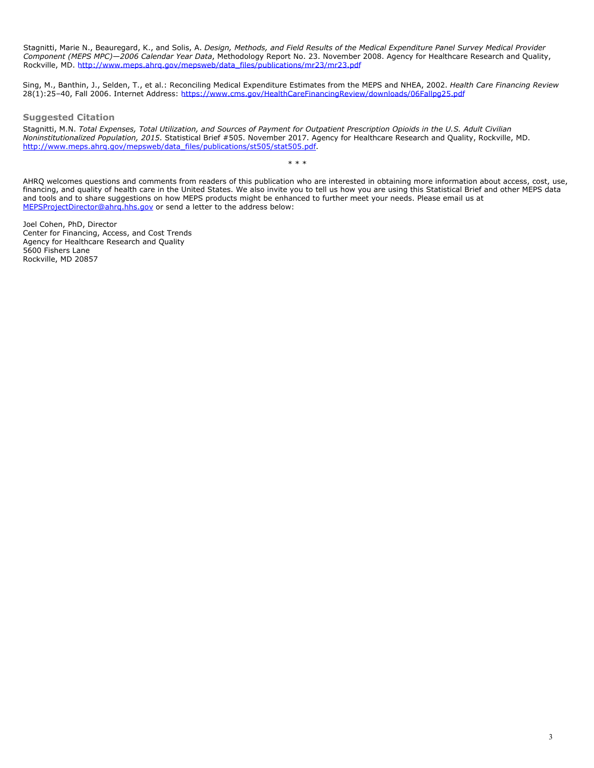Stagnitti, Marie N., Beauregard, K., and Solis, A. *Design, Methods, and Field Results of the Medical Expenditure Panel Survey Medical Provider Component (MEPS MPC)—2006 Calendar Year Data*, Methodology Report No. 23. November 2008. Agency for Healthcare Research and Quality, Rockville, MD. [http://www.meps.ahrq.gov/mepsweb/data\\_files/publications/mr23/mr23.pdf](https://meps.ahrq.gov/data_files/publications/mr23/mr23.pdf)

Sing, M., Banthin, J., Selden, T., et al.: Reconciling Medical Expenditure Estimates from the MEPS and NHEA, 2002. *Health Care Financing Review* 28(1):25–40, Fall 2006. Internet Address: [https://www.cms.gov/HealthCareFinancingReview/downloads/06Fallpg25.pdf](https://www.cms.gov/Research-Statistics-Data-and-Systems/Research/HealthCareFinancingReview/downloads/06Fallpg25.pdf)

## **Suggested Citation**

Stagnitti, M.N. *Total Expenses, Total Utilization, and Sources of Payment for Outpatient Prescription Opioids in the U.S. Adult Civilian Noninstitutionalized Population, 2015*. Statistical Brief #505. November 2017. Agency for Healthcare Research and Quality, Rockville, MD. [http://www.meps.ahrq.gov/mepsweb/data\\_files/publications/st505/stat505.pdf.](/mepsweb/data_files/publications/st505/stat505.pdf)

AHRQ welcomes questions and comments from readers of this publication who are interested in obtaining more information about access, cost, use, financing, and quality of health care in the United States. We also invite you to tell us how you are using this Statistical Brief and other MEPS data and tools and to share suggestions on how MEPS products might be enhanced to further meet your needs. Please email us at [MEPSProjectDirector@ahrq.hhs.gov](mailto:MEPSProjectDirector@ahrq.hhs.gov) or send a letter to the address below:

\* \* \*

Joel Cohen, PhD, Director Center for Financing, Access, and Cost Trends Agency for Healthcare Research and Quality 5600 Fishers Lane Rockville, MD 20857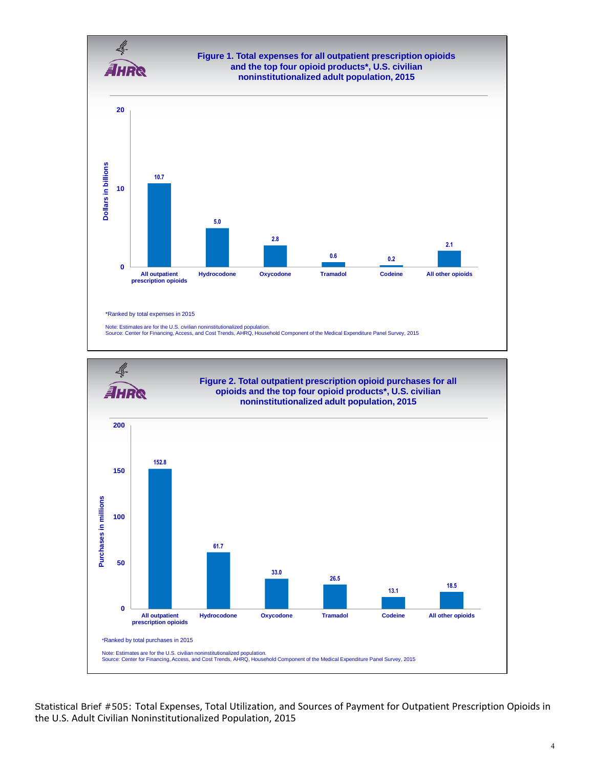



Statistical Brief #505: Total Expenses, Total Utilization, and Sources of Payment for Outpatient Prescription Opioids in the U.S. Adult Civilian Noninstitutionalized Population, 2015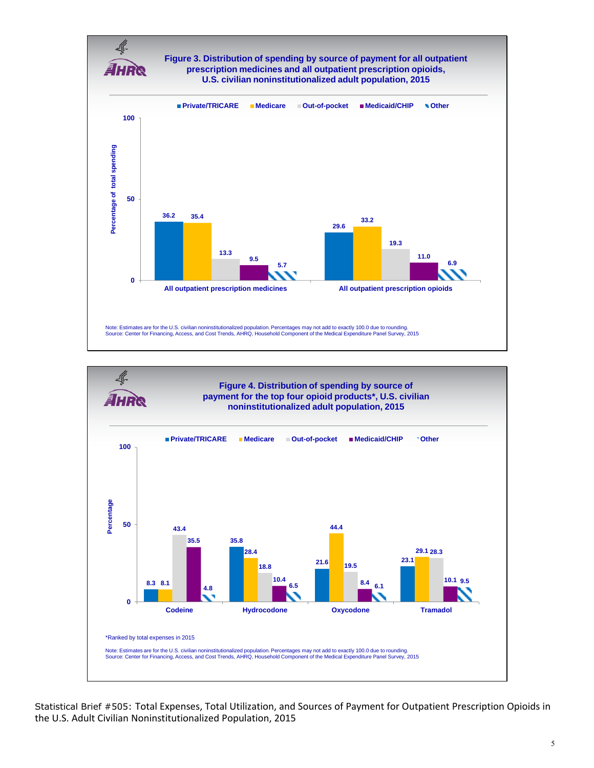



Statistical Brief #505: Total Expenses, Total Utilization, and Sources of Payment for Outpatient Prescription Opioids in the U.S. Adult Civilian Noninstitutionalized Population, 2015